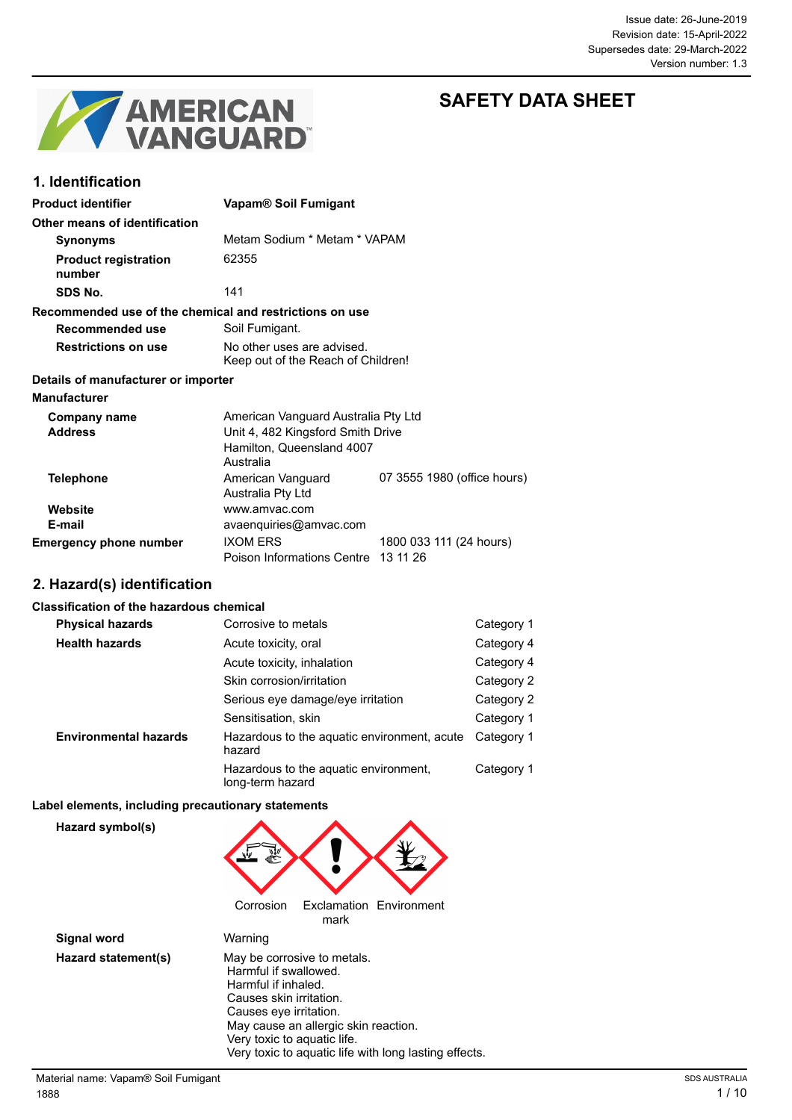

**1. Identification**

# **SAFETY DATA SHEET**

| <b>Product identifier</b>                               | Vapam <sup>®</sup> Soil Fumigant                                         |
|---------------------------------------------------------|--------------------------------------------------------------------------|
| Other means of identification                           |                                                                          |
| <b>Synonyms</b>                                         | Metam Sodium * Metam * VAPAM                                             |
| <b>Product registration</b><br>number                   | 62355                                                                    |
| SDS No.                                                 | 141                                                                      |
| Recommended use of the chemical and restrictions on use |                                                                          |
| Recommended use                                         | Soil Fumigant.                                                           |
| <b>Restrictions on use</b>                              | No other uses are advised.<br>Keep out of the Reach of Children!         |
| Details of manufacturer or importer                     |                                                                          |
| <b>Manufacturer</b>                                     |                                                                          |
| Company name<br><b>Addroce</b>                          | American Vanguard Australia Pty Ltd<br>Linit A ARD Kingsford Smith Drive |

| <b>Address</b>                | Unit 4, 482 Kingsford Smith Drive   |                             |
|-------------------------------|-------------------------------------|-----------------------------|
|                               | Hamilton, Queensland 4007           |                             |
|                               | Australia                           |                             |
| <b>Telephone</b>              | American Vanguard                   | 07 3555 1980 (office hours) |
|                               | Australia Pty Ltd                   |                             |
| Website                       | www.amvac.com                       |                             |
| E-mail                        | avaenquiries@amvac.com              |                             |
| <b>Emergency phone number</b> | <b>IXOM ERS</b>                     | 1800 033 111 (24 hours)     |
|                               | Poison Informations Centre 13 11 26 |                             |

## **2. Hazard(s) identification**

#### **Classification of the hazardous chemical**

| <b>Physical hazards</b>      | Corrosive to metals                                       | Category 1 |
|------------------------------|-----------------------------------------------------------|------------|
| <b>Health hazards</b>        | Acute toxicity, oral                                      | Category 4 |
|                              | Acute toxicity, inhalation                                | Category 4 |
|                              | Skin corrosion/irritation                                 | Category 2 |
|                              | Serious eye damage/eye irritation                         | Category 2 |
|                              | Sensitisation, skin                                       | Category 1 |
| <b>Environmental hazards</b> | Hazardous to the aquatic environment, acute<br>hazard     | Category 1 |
|                              | Hazardous to the aquatic environment,<br>long-term hazard | Category 1 |

#### **Label elements, including precautionary statements**

**Hazard symbol(s)**



| <b>Signal word</b>  | Warning                                               |
|---------------------|-------------------------------------------------------|
| Hazard statement(s) | May be corrosive to metals.                           |
|                     | Harmful if swallowed.                                 |
|                     | Harmful if inhaled.                                   |
|                     | Causes skin irritation.                               |
|                     | Causes eye irritation.                                |
|                     | May cause an allergic skin reaction.                  |
|                     | Very toxic to aquatic life.                           |
|                     | Very toxic to aquatic life with long lasting effects. |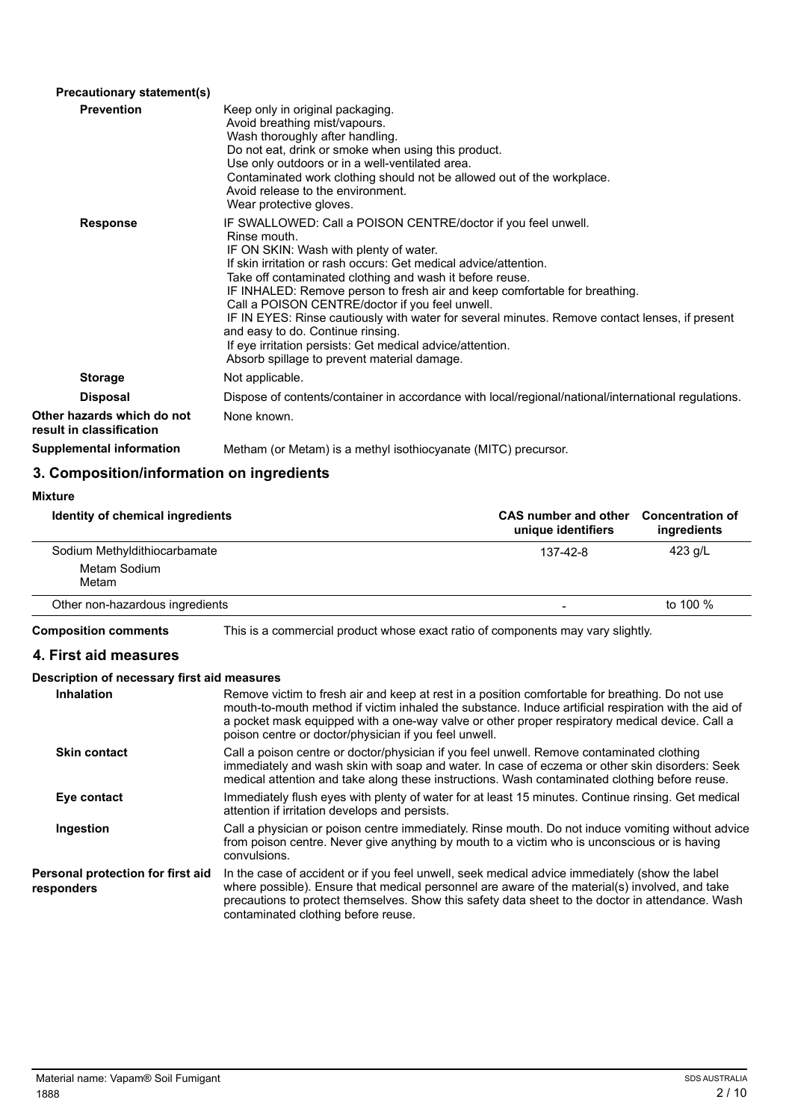| Keep only in original packaging.<br>Avoid breathing mist/vapours.<br>Wash thoroughly after handling.<br>Do not eat, drink or smoke when using this product.<br>Use only outdoors or in a well-ventilated area.<br>Contaminated work clothing should not be allowed out of the workplace.<br>Avoid release to the environment.<br>Wear protective gloves.                                                                                                                                                                                                                                                                                    |
|---------------------------------------------------------------------------------------------------------------------------------------------------------------------------------------------------------------------------------------------------------------------------------------------------------------------------------------------------------------------------------------------------------------------------------------------------------------------------------------------------------------------------------------------------------------------------------------------------------------------------------------------|
| IF SWALLOWED: Call a POISON CENTRE/doctor if you feel unwell.<br>Rinse mouth.<br>IF ON SKIN: Wash with plenty of water.<br>If skin irritation or rash occurs: Get medical advice/attention.<br>Take off contaminated clothing and wash it before reuse.<br>IF INHALED: Remove person to fresh air and keep comfortable for breathing.<br>Call a POISON CENTRE/doctor if you feel unwell.<br>IF IN EYES: Rinse cautiously with water for several minutes. Remove contact lenses, if present<br>and easy to do. Continue rinsing.<br>If eye irritation persists: Get medical advice/attention.<br>Absorb spillage to prevent material damage. |
| Not applicable.                                                                                                                                                                                                                                                                                                                                                                                                                                                                                                                                                                                                                             |
| Dispose of contents/container in accordance with local/regional/national/international regulations.                                                                                                                                                                                                                                                                                                                                                                                                                                                                                                                                         |
| None known.                                                                                                                                                                                                                                                                                                                                                                                                                                                                                                                                                                                                                                 |
| Metham (or Metam) is a methyl isothiocyanate (MITC) precursor.                                                                                                                                                                                                                                                                                                                                                                                                                                                                                                                                                                              |
|                                                                                                                                                                                                                                                                                                                                                                                                                                                                                                                                                                                                                                             |

# **3. Composition/information on ingredients**

| <b>Mixture</b>                   |                                                   |                                        |
|----------------------------------|---------------------------------------------------|----------------------------------------|
| Identity of chemical ingredients | <b>CAS number and other</b><br>unique identifiers | <b>Concentration of</b><br>ingredients |
| Sodium Methyldithiocarbamate     | $137 - 42 - 8$                                    | $423$ g/L                              |
| Metam Sodium<br>Metam            |                                                   |                                        |
| Other non-hazardous ingredients  | -                                                 | to 100 %                               |

**Composition comments** This is a commercial product whose exact ratio of components may vary slightly.

# **4. First aid measures**

### **Description of necessary first aid measures**

| <b>Inhalation</b>                               | Remove victim to fresh air and keep at rest in a position comfortable for breathing. Do not use<br>mouth-to-mouth method if victim inhaled the substance. Induce artificial respiration with the aid of<br>a pocket mask equipped with a one-way valve or other proper respiratory medical device. Call a<br>poison centre or doctor/physician if you feel unwell. |
|-------------------------------------------------|--------------------------------------------------------------------------------------------------------------------------------------------------------------------------------------------------------------------------------------------------------------------------------------------------------------------------------------------------------------------|
| <b>Skin contact</b>                             | Call a poison centre or doctor/physician if you feel unwell. Remove contaminated clothing<br>immediately and wash skin with soap and water. In case of eczema or other skin disorders: Seek<br>medical attention and take along these instructions. Wash contaminated clothing before reuse.                                                                       |
| Eye contact                                     | Immediately flush eyes with plenty of water for at least 15 minutes. Continue rinsing. Get medical<br>attention if irritation develops and persists.                                                                                                                                                                                                               |
| Ingestion                                       | Call a physician or poison centre immediately. Rinse mouth. Do not induce vomiting without advice<br>from poison centre. Never give anything by mouth to a victim who is unconscious or is having<br>convulsions.                                                                                                                                                  |
| Personal protection for first aid<br>responders | In the case of accident or if you feel unwell, seek medical advice immediately (show the label<br>where possible). Ensure that medical personnel are aware of the material(s) involved, and take<br>precautions to protect themselves. Show this safety data sheet to the doctor in attendance. Wash<br>contaminated clothing before reuse.                        |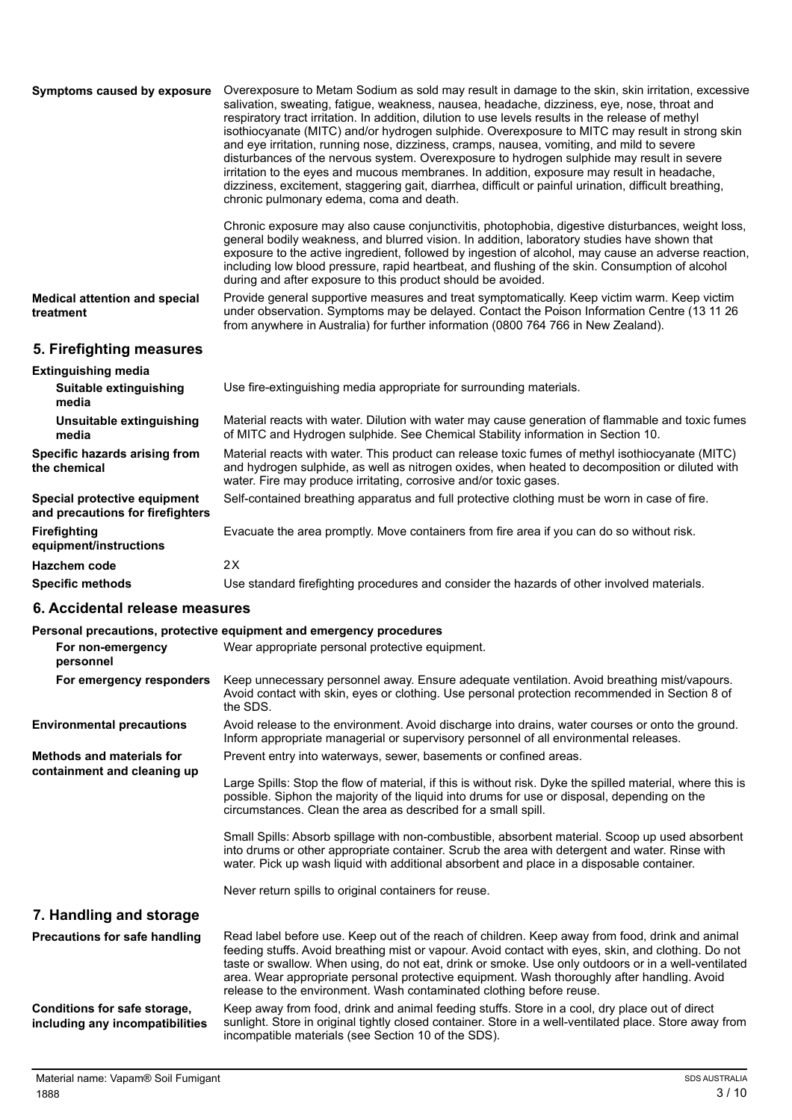| Symptoms caused by exposure                                      | Overexposure to Metam Sodium as sold may result in damage to the skin, skin irritation, excessive<br>salivation, sweating, fatigue, weakness, nausea, headache, dizziness, eye, nose, throat and<br>respiratory tract irritation. In addition, dilution to use levels results in the release of methyl<br>isothiocyanate (MITC) and/or hydrogen sulphide. Overexposure to MITC may result in strong skin<br>and eye irritation, running nose, dizziness, cramps, nausea, vomiting, and mild to severe<br>disturbances of the nervous system. Overexposure to hydrogen sulphide may result in severe<br>irritation to the eyes and mucous membranes. In addition, exposure may result in headache,<br>dizziness, excitement, staggering gait, diarrhea, difficult or painful urination, difficult breathing,<br>chronic pulmonary edema, coma and death. |
|------------------------------------------------------------------|---------------------------------------------------------------------------------------------------------------------------------------------------------------------------------------------------------------------------------------------------------------------------------------------------------------------------------------------------------------------------------------------------------------------------------------------------------------------------------------------------------------------------------------------------------------------------------------------------------------------------------------------------------------------------------------------------------------------------------------------------------------------------------------------------------------------------------------------------------|
|                                                                  | Chronic exposure may also cause conjunctivitis, photophobia, digestive disturbances, weight loss,<br>general bodily weakness, and blurred vision. In addition, laboratory studies have shown that<br>exposure to the active ingredient, followed by ingestion of alcohol, may cause an adverse reaction,<br>including low blood pressure, rapid heartbeat, and flushing of the skin. Consumption of alcohol<br>during and after exposure to this product should be avoided.                                                                                                                                                                                                                                                                                                                                                                             |
| <b>Medical attention and special</b><br>treatment                | Provide general supportive measures and treat symptomatically. Keep victim warm. Keep victim<br>under observation. Symptoms may be delayed. Contact the Poison Information Centre (13 11 26<br>from anywhere in Australia) for further information (0800 764 766 in New Zealand).                                                                                                                                                                                                                                                                                                                                                                                                                                                                                                                                                                       |
| 5. Firefighting measures                                         |                                                                                                                                                                                                                                                                                                                                                                                                                                                                                                                                                                                                                                                                                                                                                                                                                                                         |
| <b>Extinguishing media</b><br>Suitable extinguishing<br>media    | Use fire-extinguishing media appropriate for surrounding materials.                                                                                                                                                                                                                                                                                                                                                                                                                                                                                                                                                                                                                                                                                                                                                                                     |
| Unsuitable extinguishing<br>media                                | Material reacts with water. Dilution with water may cause generation of flammable and toxic fumes<br>of MITC and Hydrogen sulphide. See Chemical Stability information in Section 10.                                                                                                                                                                                                                                                                                                                                                                                                                                                                                                                                                                                                                                                                   |
| Specific hazards arising from<br>the chemical                    | Material reacts with water. This product can release toxic fumes of methyl isothiocyanate (MITC)<br>and hydrogen sulphide, as well as nitrogen oxides, when heated to decomposition or diluted with<br>water. Fire may produce irritating, corrosive and/or toxic gases.                                                                                                                                                                                                                                                                                                                                                                                                                                                                                                                                                                                |
| Special protective equipment<br>and precautions for firefighters | Self-contained breathing apparatus and full protective clothing must be worn in case of fire.                                                                                                                                                                                                                                                                                                                                                                                                                                                                                                                                                                                                                                                                                                                                                           |
| Firefighting<br>equipment/instructions                           | Evacuate the area promptly. Move containers from fire area if you can do so without risk.                                                                                                                                                                                                                                                                                                                                                                                                                                                                                                                                                                                                                                                                                                                                                               |

#### **6. Accidental release measures**

**Hazchem code** 2X

#### **Personal precautions, protective equipment and emergency procedures**

|                                                                 | Personal precaduons, protective equipment and emergency procedures                                                                                                                                                                                                                                                                                                                                                                                                                   |
|-----------------------------------------------------------------|--------------------------------------------------------------------------------------------------------------------------------------------------------------------------------------------------------------------------------------------------------------------------------------------------------------------------------------------------------------------------------------------------------------------------------------------------------------------------------------|
| For non-emergency<br>personnel                                  | Wear appropriate personal protective equipment.                                                                                                                                                                                                                                                                                                                                                                                                                                      |
| For emergency responders                                        | Keep unnecessary personnel away. Ensure adequate ventilation. Avoid breathing mist/vapours.<br>Avoid contact with skin, eyes or clothing. Use personal protection recommended in Section 8 of<br>the SDS.                                                                                                                                                                                                                                                                            |
| <b>Environmental precautions</b>                                | Avoid release to the environment. Avoid discharge into drains, water courses or onto the ground.<br>Inform appropriate managerial or supervisory personnel of all environmental releases.                                                                                                                                                                                                                                                                                            |
| <b>Methods and materials for</b>                                | Prevent entry into waterways, sewer, basements or confined areas.                                                                                                                                                                                                                                                                                                                                                                                                                    |
| containment and cleaning up                                     | Large Spills: Stop the flow of material, if this is without risk. Dyke the spilled material, where this is<br>possible. Siphon the majority of the liquid into drums for use or disposal, depending on the<br>circumstances. Clean the area as described for a small spill.                                                                                                                                                                                                          |
|                                                                 | Small Spills: Absorb spillage with non-combustible, absorbent material. Scoop up used absorbent<br>into drums or other appropriate container. Scrub the area with detergent and water. Rinse with<br>water. Pick up wash liquid with additional absorbent and place in a disposable container.                                                                                                                                                                                       |
|                                                                 | Never return spills to original containers for reuse.                                                                                                                                                                                                                                                                                                                                                                                                                                |
| 7. Handling and storage                                         |                                                                                                                                                                                                                                                                                                                                                                                                                                                                                      |
| Precautions for safe handling                                   | Read label before use. Keep out of the reach of children. Keep away from food, drink and animal<br>feeding stuffs. Avoid breathing mist or vapour. Avoid contact with eyes, skin, and clothing. Do not<br>taste or swallow. When using, do not eat, drink or smoke. Use only outdoors or in a well-ventilated<br>area. Wear appropriate personal protective equipment. Wash thoroughly after handling. Avoid<br>release to the environment. Wash contaminated clothing before reuse. |
| Conditions for safe storage,<br>including any incompatibilities | Keep away from food, drink and animal feeding stuffs. Store in a cool, dry place out of direct<br>sunlight. Store in original tightly closed container. Store in a well-ventilated place. Store away from<br>incompatible materials (see Section 10 of the SDS).                                                                                                                                                                                                                     |

**Specific methods** Use standard firefighting procedures and consider the hazards of other involved materials.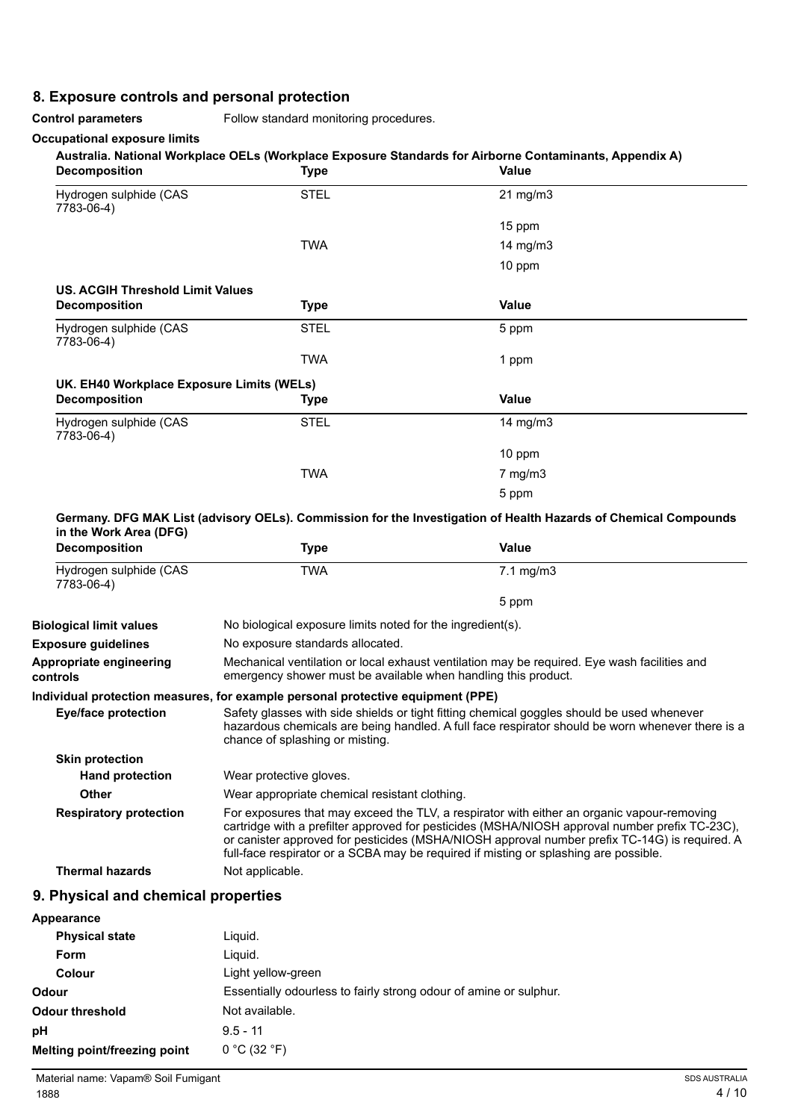# **8. Exposure controls and personal protection**

**Control parameters** Follow standard monitoring procedures.

#### **Occupational exposure limits**

#### **Australia. National Workplace OELs (Workplace Exposure Standards for Airborne Contaminants, Appendix A)**

| <b>Decomposition</b>                      | .<br><b>Type</b> | Value        |
|-------------------------------------------|------------------|--------------|
| Hydrogen sulphide (CAS<br>7783-06-4)      | <b>STEL</b>      | 21 mg/m3     |
|                                           |                  | 15 ppm       |
|                                           | <b>TWA</b>       | 14 $mg/m3$   |
|                                           |                  | 10 ppm       |
| <b>US. ACGIH Threshold Limit Values</b>   |                  |              |
| <b>Decomposition</b>                      | <b>Type</b>      | Value        |
| Hydrogen sulphide (CAS<br>7783-06-4)      | <b>STEL</b>      | 5 ppm        |
|                                           | <b>TWA</b>       | 1 ppm        |
| UK. EH40 Workplace Exposure Limits (WELs) |                  |              |
| <b>Decomposition</b>                      | <b>Type</b>      | Value        |
| Hydrogen sulphide (CAS<br>7783-06-4)      | <b>STEL</b>      | 14 $mg/m3$   |
|                                           |                  | 10 ppm       |
|                                           | <b>TWA</b>       | $7$ mg/m $3$ |
|                                           |                  | 5 ppm        |

#### **Germany. DFG MAK List (advisory OELs). Commission for the Investigation of Health Hazards of Chemical Compounds in the Work Area (DFG)**

| <b>Decomposition</b>                 | <b>Type</b>                                                                     | Value                                                                                                                                                                                                                                                                                                                                                                                 |
|--------------------------------------|---------------------------------------------------------------------------------|---------------------------------------------------------------------------------------------------------------------------------------------------------------------------------------------------------------------------------------------------------------------------------------------------------------------------------------------------------------------------------------|
| Hydrogen sulphide (CAS<br>7783-06-4) | TWA                                                                             | $7.1 \text{ mg/m}$ 3                                                                                                                                                                                                                                                                                                                                                                  |
|                                      |                                                                                 | 5 ppm                                                                                                                                                                                                                                                                                                                                                                                 |
| <b>Biological limit values</b>       | No biological exposure limits noted for the ingredient(s).                      |                                                                                                                                                                                                                                                                                                                                                                                       |
| <b>Exposure guidelines</b>           | No exposure standards allocated.                                                |                                                                                                                                                                                                                                                                                                                                                                                       |
| Appropriate engineering<br>controls  | emergency shower must be available when handling this product.                  | Mechanical ventilation or local exhaust ventilation may be required. Eye wash facilities and                                                                                                                                                                                                                                                                                          |
|                                      | Individual protection measures, for example personal protective equipment (PPE) |                                                                                                                                                                                                                                                                                                                                                                                       |
| Eye/face protection                  | chance of splashing or misting.                                                 | Safety glasses with side shields or tight fitting chemical goggles should be used whenever<br>hazardous chemicals are being handled. A full face respirator should be worn whenever there is a                                                                                                                                                                                        |
| <b>Skin protection</b>               |                                                                                 |                                                                                                                                                                                                                                                                                                                                                                                       |
| <b>Hand protection</b>               | Wear protective gloves.                                                         |                                                                                                                                                                                                                                                                                                                                                                                       |
| <b>Other</b>                         | Wear appropriate chemical resistant clothing.                                   |                                                                                                                                                                                                                                                                                                                                                                                       |
| <b>Respiratory protection</b>        |                                                                                 | For exposures that may exceed the TLV, a respirator with either an organic vapour-removing<br>cartridge with a prefilter approved for pesticides (MSHA/NIOSH approval number prefix TC-23C),<br>or canister approved for pesticides (MSHA/NIOSH approval number prefix TC-14G) is required. A<br>full-face respirator or a SCBA may be required if misting or splashing are possible. |
| <b>Thermal hazards</b>               | Not applicable.                                                                 |                                                                                                                                                                                                                                                                                                                                                                                       |
|                                      |                                                                                 |                                                                                                                                                                                                                                                                                                                                                                                       |

## **9. Physical and chemical properties**

| Appearance                   |                                                                   |
|------------------------------|-------------------------------------------------------------------|
| <b>Physical state</b>        | Liguid.                                                           |
| Form                         | Liguid.                                                           |
| Colour                       | Light yellow-green                                                |
| <b>Odour</b>                 | Essentially odourless to fairly strong odour of amine or sulphur. |
| <b>Odour threshold</b>       | Not available.                                                    |
| pH                           | $9.5 - 11$                                                        |
| Melting point/freezing point | 0 °C (32 °F)                                                      |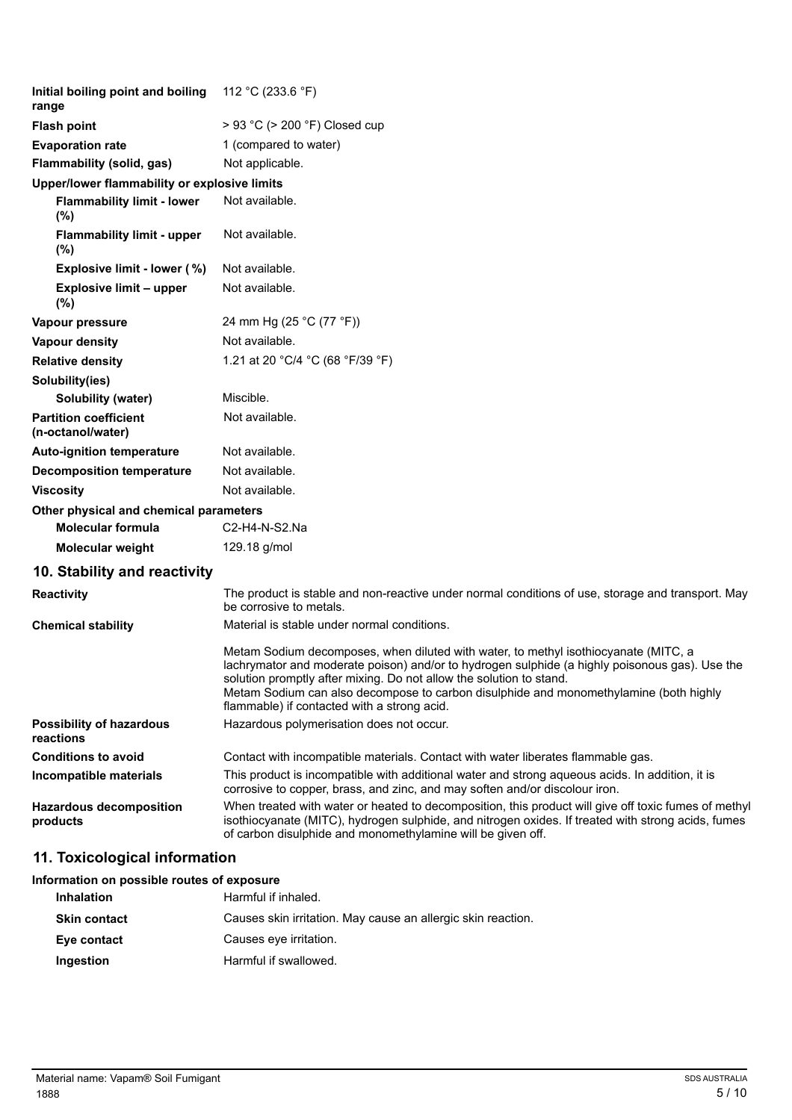| Initial boiling point and boiling<br>range        | 112 °C (233.6 °F)                                                                                                                                                                                                                                                                                                                                                                                    |
|---------------------------------------------------|------------------------------------------------------------------------------------------------------------------------------------------------------------------------------------------------------------------------------------------------------------------------------------------------------------------------------------------------------------------------------------------------------|
| <b>Flash point</b>                                | > 93 °C (> 200 °F) Closed cup                                                                                                                                                                                                                                                                                                                                                                        |
| <b>Evaporation rate</b>                           | 1 (compared to water)                                                                                                                                                                                                                                                                                                                                                                                |
| Flammability (solid, gas)                         | Not applicable.                                                                                                                                                                                                                                                                                                                                                                                      |
| Upper/lower flammability or explosive limits      |                                                                                                                                                                                                                                                                                                                                                                                                      |
| <b>Flammability limit - lower</b><br>$(\%)$       | Not available.                                                                                                                                                                                                                                                                                                                                                                                       |
| <b>Flammability limit - upper</b><br>$(\% )$      | Not available.                                                                                                                                                                                                                                                                                                                                                                                       |
| Explosive limit - lower (%)                       | Not available.                                                                                                                                                                                                                                                                                                                                                                                       |
| <b>Explosive limit - upper</b><br>(%)             | Not available.                                                                                                                                                                                                                                                                                                                                                                                       |
| Vapour pressure                                   | 24 mm Hg (25 °C (77 °F))                                                                                                                                                                                                                                                                                                                                                                             |
| Vapour density                                    | Not available.                                                                                                                                                                                                                                                                                                                                                                                       |
| <b>Relative density</b>                           | 1.21 at 20 °C/4 °C (68 °F/39 °F)                                                                                                                                                                                                                                                                                                                                                                     |
| Solubility(ies)                                   |                                                                                                                                                                                                                                                                                                                                                                                                      |
| Solubility (water)                                | Miscible.                                                                                                                                                                                                                                                                                                                                                                                            |
| <b>Partition coefficient</b><br>(n-octanol/water) | Not available.                                                                                                                                                                                                                                                                                                                                                                                       |
| <b>Auto-ignition temperature</b>                  | Not available.                                                                                                                                                                                                                                                                                                                                                                                       |
| <b>Decomposition temperature</b>                  | Not available.                                                                                                                                                                                                                                                                                                                                                                                       |
| <b>Viscosity</b>                                  | Not available.                                                                                                                                                                                                                                                                                                                                                                                       |
| Other physical and chemical parameters            |                                                                                                                                                                                                                                                                                                                                                                                                      |
| <b>Molecular formula</b>                          | C2-H4-N-S2.Na                                                                                                                                                                                                                                                                                                                                                                                        |
| Molecular weight                                  | 129.18 g/mol                                                                                                                                                                                                                                                                                                                                                                                         |
| 10. Stability and reactivity                      |                                                                                                                                                                                                                                                                                                                                                                                                      |
| Reactivity                                        | The product is stable and non-reactive under normal conditions of use, storage and transport. May<br>be corrosive to metals.                                                                                                                                                                                                                                                                         |
| <b>Chemical stability</b>                         | Material is stable under normal conditions.                                                                                                                                                                                                                                                                                                                                                          |
|                                                   | Metam Sodium decomposes, when diluted with water, to methyl isothiocyanate (MITC, a<br>lachrymator and moderate poison) and/or to hydrogen sulphide (a highly poisonous gas). Use the<br>solution promptly after mixing. Do not allow the solution to stand.<br>Metam Sodium can also decompose to carbon disulphide and monomethylamine (both highly<br>flammable) if contacted with a strong acid. |
| <b>Possibility of hazardous</b><br>reactions      | Hazardous polymerisation does not occur.                                                                                                                                                                                                                                                                                                                                                             |
| <b>Conditions to avoid</b>                        | Contact with incompatible materials. Contact with water liberates flammable gas.                                                                                                                                                                                                                                                                                                                     |
| Incompatible materials                            | This product is incompatible with additional water and strong aqueous acids. In addition, it is<br>corrosive to copper, brass, and zinc, and may soften and/or discolour iron.                                                                                                                                                                                                                       |
| <b>Hazardous decomposition</b><br>products        | When treated with water or heated to decomposition, this product will give off toxic fumes of methyl<br>isothiocyanate (MITC), hydrogen sulphide, and nitrogen oxides. If treated with strong acids, fumes                                                                                                                                                                                           |

of carbon disulphide and monomethylamine will be given off.

# **11. Toxicological information**

# **Information on possible routes of exposure Inhalation** Harmful if inhaled. **Skin contact** Causes skin irritation. May cause an allergic skin reaction. **Eye contact** Causes eye irritation. **Ingestion** Harmful if swallowed.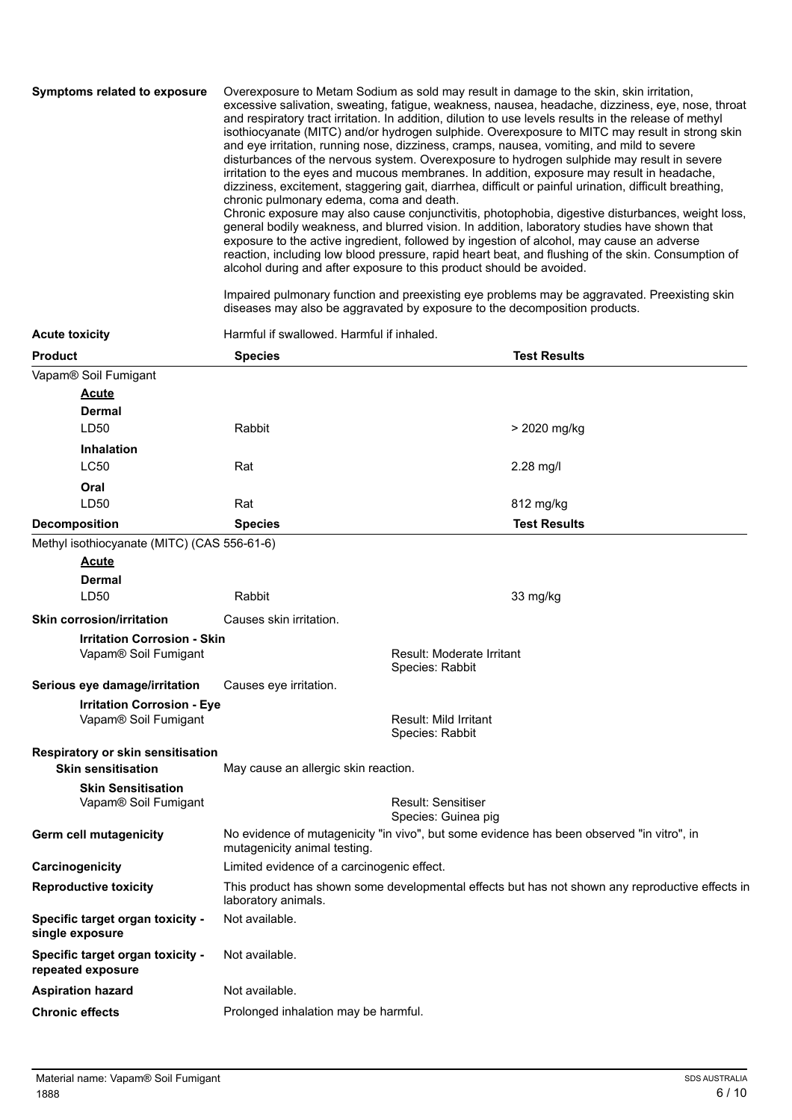**Symptoms related to exposure** Overexposure to Metam Sodium as sold may result in damage to the skin, skin irritation, excessive salivation, sweating, fatigue, weakness, nausea, headache, dizziness, eye, nose, throat and respiratory tract irritation. In addition, dilution to use levels results in the release of methyl isothiocyanate (MITC) and/or hydrogen sulphide. Overexposure to MITC may result in strong skin and eye irritation, running nose, dizziness, cramps, nausea, vomiting, and mild to severe disturbances of the nervous system. Overexposure to hydrogen sulphide may result in severe irritation to the eyes and mucous membranes. In addition, exposure may result in headache, dizziness, excitement, staggering gait, diarrhea, difficult or painful urination, difficult breathing, chronic pulmonary edema, coma and death. Chronic exposure may also cause conjunctivitis, photophobia, digestive disturbances, weight loss, general bodily weakness, and blurred vision. In addition, laboratory studies have shown that exposure to the active ingredient, followed by ingestion of alcohol, may cause an adverse reaction, including low blood pressure, rapid heart beat, and flushing of the skin. Consumption of

alcohol during and after exposure to this product should be avoided.

Impaired pulmonary function and preexisting eye problems may be aggravated. Preexisting skin diseases may also be aggravated by exposure to the decomposition products.

| <b>Acute toxicity</b>                                      | Harmful if swallowed. Harmful if inhaled.  |                                                                                                 |
|------------------------------------------------------------|--------------------------------------------|-------------------------------------------------------------------------------------------------|
| <b>Product</b>                                             | <b>Species</b>                             | <b>Test Results</b>                                                                             |
| Vapam® Soil Fumigant                                       |                                            |                                                                                                 |
| <b>Acute</b>                                               |                                            |                                                                                                 |
| <b>Dermal</b>                                              |                                            |                                                                                                 |
| LD50                                                       | <b>Rabbit</b>                              | > 2020 mg/kg                                                                                    |
| <b>Inhalation</b>                                          |                                            |                                                                                                 |
| <b>LC50</b>                                                | Rat                                        | 2.28 mg/l                                                                                       |
| Oral                                                       |                                            |                                                                                                 |
| LD50                                                       | Rat                                        | 812 mg/kg                                                                                       |
| <b>Decomposition</b>                                       | <b>Species</b>                             | <b>Test Results</b>                                                                             |
| Methyl isothiocyanate (MITC) (CAS 556-61-6)                |                                            |                                                                                                 |
| <b>Acute</b>                                               |                                            |                                                                                                 |
| <b>Dermal</b>                                              |                                            |                                                                                                 |
| LD50                                                       | <b>Rabbit</b>                              | 33 mg/kg                                                                                        |
| <b>Skin corrosion/irritation</b>                           | Causes skin irritation.                    |                                                                                                 |
| <b>Irritation Corrosion - Skin</b><br>Vapam® Soil Fumigant |                                            | <b>Result: Moderate Irritant</b><br>Species: Rabbit                                             |
| Serious eye damage/irritation                              | Causes eye irritation.                     |                                                                                                 |
| <b>Irritation Corrosion - Eye</b>                          |                                            |                                                                                                 |
| Vapam® Soil Fumigant                                       |                                            | <b>Result: Mild Irritant</b><br>Species: Rabbit                                                 |
| Respiratory or skin sensitisation                          |                                            |                                                                                                 |
| <b>Skin sensitisation</b>                                  | May cause an allergic skin reaction.       |                                                                                                 |
| <b>Skin Sensitisation</b><br>Vapam® Soil Fumigant          |                                            | Result: Sensitiser<br>Species: Guinea pig                                                       |
| Germ cell mutagenicity                                     | mutagenicity animal testing.               | No evidence of mutagenicity "in vivo", but some evidence has been observed "in vitro", in       |
| Carcinogenicity                                            | Limited evidence of a carcinogenic effect. |                                                                                                 |
| <b>Reproductive toxicity</b>                               | laboratory animals.                        | This product has shown some developmental effects but has not shown any reproductive effects in |
| Specific target organ toxicity -<br>single exposure        | Not available.                             |                                                                                                 |
| Specific target organ toxicity -<br>repeated exposure      | Not available.                             |                                                                                                 |
| <b>Aspiration hazard</b>                                   | Not available.                             |                                                                                                 |
| <b>Chronic effects</b>                                     | Prolonged inhalation may be harmful.       |                                                                                                 |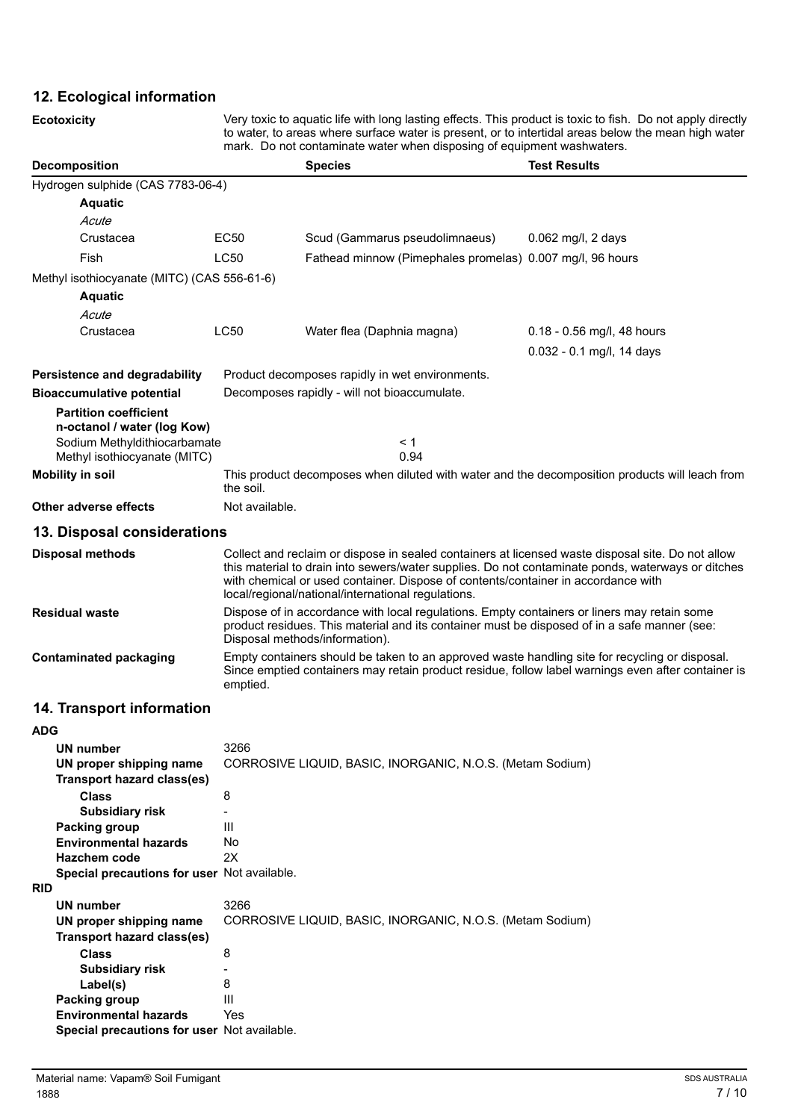# **12. Ecological information**

**Ecotoxicity** Very toxic to aquatic life with long lasting effects. This product is toxic to fish. Do not apply directly to water, to areas where surface water is present, or to intertidal areas below the mean high water mark. Do not contaminate water when disposing of equipment washwaters.

| <b>Decomposition</b>                                        |                                                                                                                                                                                                                                                                                                                                                   | mark. Do not contaminate water wrien disposing or equipment washwaters.<br><b>Species</b>      | <b>Test Results</b>        |
|-------------------------------------------------------------|---------------------------------------------------------------------------------------------------------------------------------------------------------------------------------------------------------------------------------------------------------------------------------------------------------------------------------------------------|------------------------------------------------------------------------------------------------|----------------------------|
| Hydrogen sulphide (CAS 7783-06-4)                           |                                                                                                                                                                                                                                                                                                                                                   |                                                                                                |                            |
| <b>Aquatic</b>                                              |                                                                                                                                                                                                                                                                                                                                                   |                                                                                                |                            |
| Acute                                                       |                                                                                                                                                                                                                                                                                                                                                   |                                                                                                |                            |
| Crustacea                                                   | EC50                                                                                                                                                                                                                                                                                                                                              | Scud (Gammarus pseudolimnaeus)                                                                 | $0.062$ mg/l, 2 days       |
| Fish                                                        | <b>LC50</b>                                                                                                                                                                                                                                                                                                                                       | Fathead minnow (Pimephales promelas) 0.007 mg/l, 96 hours                                      |                            |
| Methyl isothiocyanate (MITC) (CAS 556-61-6)                 |                                                                                                                                                                                                                                                                                                                                                   |                                                                                                |                            |
| <b>Aquatic</b>                                              |                                                                                                                                                                                                                                                                                                                                                   |                                                                                                |                            |
| Acute                                                       |                                                                                                                                                                                                                                                                                                                                                   |                                                                                                |                            |
| Crustacea                                                   | <b>LC50</b>                                                                                                                                                                                                                                                                                                                                       | Water flea (Daphnia magna)                                                                     | 0.18 - 0.56 mg/l, 48 hours |
|                                                             |                                                                                                                                                                                                                                                                                                                                                   |                                                                                                | 0.032 - 0.1 mg/l, 14 days  |
|                                                             |                                                                                                                                                                                                                                                                                                                                                   |                                                                                                |                            |
| Persistence and degradability                               |                                                                                                                                                                                                                                                                                                                                                   | Product decomposes rapidly in wet environments.                                                |                            |
| <b>Bioaccumulative potential</b>                            |                                                                                                                                                                                                                                                                                                                                                   | Decomposes rapidly - will not bioaccumulate.                                                   |                            |
| <b>Partition coefficient</b><br>n-octanol / water (log Kow) |                                                                                                                                                                                                                                                                                                                                                   |                                                                                                |                            |
| Sodium Methyldithiocarbamate                                |                                                                                                                                                                                                                                                                                                                                                   | < 1                                                                                            |                            |
| Methyl isothiocyanate (MITC)                                |                                                                                                                                                                                                                                                                                                                                                   | 0.94                                                                                           |                            |
| <b>Mobility in soil</b>                                     |                                                                                                                                                                                                                                                                                                                                                   | This product decomposes when diluted with water and the decomposition products will leach from |                            |
|                                                             | the soil.                                                                                                                                                                                                                                                                                                                                         |                                                                                                |                            |
| Other adverse effects                                       | Not available.                                                                                                                                                                                                                                                                                                                                    |                                                                                                |                            |
| 13. Disposal considerations                                 |                                                                                                                                                                                                                                                                                                                                                   |                                                                                                |                            |
| <b>Disposal methods</b>                                     | Collect and reclaim or dispose in sealed containers at licensed waste disposal site. Do not allow<br>this material to drain into sewers/water supplies. Do not contaminate ponds, waterways or ditches<br>with chemical or used container. Dispose of contents/container in accordance with<br>local/regional/national/international regulations. |                                                                                                |                            |
| <b>Residual waste</b>                                       | Dispose of in accordance with local regulations. Empty containers or liners may retain some<br>product residues. This material and its container must be disposed of in a safe manner (see:<br>Disposal methods/information).                                                                                                                     |                                                                                                |                            |
| <b>Contaminated packaging</b>                               | Empty containers should be taken to an approved waste handling site for recycling or disposal.<br>Since emptied containers may retain product residue, follow label warnings even after container is<br>emptied.                                                                                                                                  |                                                                                                |                            |
| 14. Transport information                                   |                                                                                                                                                                                                                                                                                                                                                   |                                                                                                |                            |
| <b>ADG</b>                                                  |                                                                                                                                                                                                                                                                                                                                                   |                                                                                                |                            |
| <b>UN number</b>                                            | 3266                                                                                                                                                                                                                                                                                                                                              |                                                                                                |                            |
| UN proper shipping name                                     |                                                                                                                                                                                                                                                                                                                                                   | CORROSIVE LIQUID, BASIC, INORGANIC, N.O.S. (Metam Sodium)                                      |                            |
| <b>Transport hazard class(es)</b>                           |                                                                                                                                                                                                                                                                                                                                                   |                                                                                                |                            |
| <b>Class</b>                                                | 8                                                                                                                                                                                                                                                                                                                                                 |                                                                                                |                            |
| <b>Subsidiary risk</b>                                      | $\overline{\phantom{a}}$                                                                                                                                                                                                                                                                                                                          |                                                                                                |                            |
| <b>Packing group</b>                                        | Ш                                                                                                                                                                                                                                                                                                                                                 |                                                                                                |                            |
| <b>Environmental hazards</b>                                | No                                                                                                                                                                                                                                                                                                                                                |                                                                                                |                            |
| Hazchem code<br>Special precautions for user Not available. | 2X                                                                                                                                                                                                                                                                                                                                                |                                                                                                |                            |
| <b>RID</b>                                                  |                                                                                                                                                                                                                                                                                                                                                   |                                                                                                |                            |
| <b>UN number</b>                                            | 3266                                                                                                                                                                                                                                                                                                                                              |                                                                                                |                            |
| UN proper shipping name                                     |                                                                                                                                                                                                                                                                                                                                                   | CORROSIVE LIQUID, BASIC, INORGANIC, N.O.S. (Metam Sodium)                                      |                            |

| UN number                                   | 3266                                                      |
|---------------------------------------------|-----------------------------------------------------------|
| UN proper shipping name                     | CORROSIVE LIQUID, BASIC, INORGANIC, N.O.S. (Metam Sodium) |
| Transport hazard class(es)                  |                                                           |
| <b>Class</b>                                | 8                                                         |
| <b>Subsidiary risk</b>                      | $\overline{\phantom{0}}$                                  |
| Label(s)                                    | 8                                                         |
| Packing group                               | Ш                                                         |
| <b>Environmental hazards</b>                | Yes                                                       |
| Special precautions for user Not available. |                                                           |
|                                             |                                                           |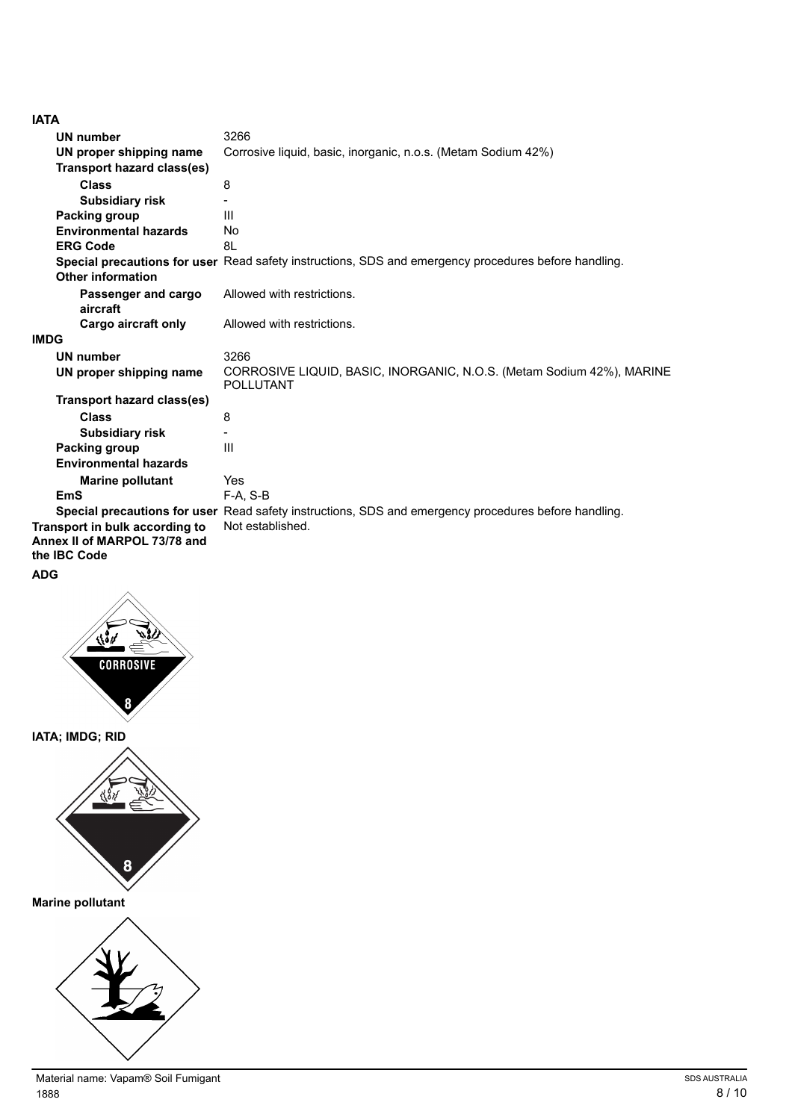|--|--|

| הורו                                                                           |                                                                                                      |
|--------------------------------------------------------------------------------|------------------------------------------------------------------------------------------------------|
| <b>UN number</b>                                                               | 3266                                                                                                 |
| UN proper shipping name                                                        | Corrosive liquid, basic, inorganic, n.o.s. (Metam Sodium 42%)                                        |
| <b>Transport hazard class(es)</b>                                              |                                                                                                      |
| <b>Class</b>                                                                   | 8                                                                                                    |
| <b>Subsidiary risk</b>                                                         |                                                                                                      |
| Packing group                                                                  | Ш                                                                                                    |
| <b>Environmental hazards</b>                                                   | No                                                                                                   |
| <b>ERG Code</b>                                                                | 8L                                                                                                   |
|                                                                                | Special precautions for user Read safety instructions, SDS and emergency procedures before handling. |
| Other information                                                              |                                                                                                      |
| Passenger and cargo<br>aircraft                                                | Allowed with restrictions.                                                                           |
| Cargo aircraft only                                                            | Allowed with restrictions.                                                                           |
| <b>IMDG</b>                                                                    |                                                                                                      |
| <b>UN number</b>                                                               | 3266                                                                                                 |
| UN proper shipping name                                                        | CORROSIVE LIQUID, BASIC, INORGANIC, N.O.S. (Metam Sodium 42%), MARINE<br><b>POLLUTANT</b>            |
| Transport hazard class(es)                                                     |                                                                                                      |
| <b>Class</b>                                                                   | 8                                                                                                    |
| <b>Subsidiary risk</b>                                                         |                                                                                                      |
| Packing group                                                                  | Ш                                                                                                    |
| <b>Environmental hazards</b>                                                   |                                                                                                      |
| <b>Marine pollutant</b>                                                        | Yes                                                                                                  |
| <b>EmS</b>                                                                     | $F-A. S-B$                                                                                           |
|                                                                                | Special precautions for user Read safety instructions, SDS and emergency procedures before handling. |
| Transport in bulk according to<br>Annex II of MARPOL 73/78 and<br>the IBC Code | Not established.                                                                                     |
| <b>ADG</b>                                                                     |                                                                                                      |



**IATA; IMDG; RID**



**Marine pollutant**

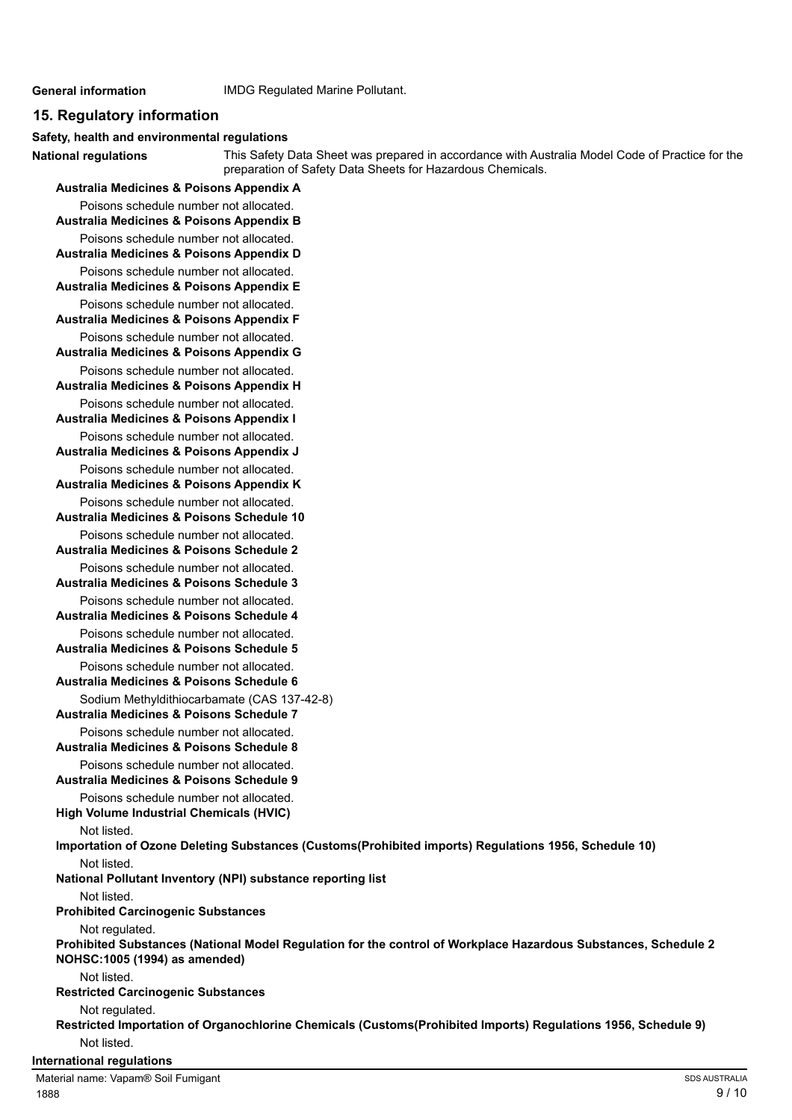**National regulations**

#### **General information** IMDG Regulated Marine Pollutant.

#### **15. Regulatory information**

#### **Safety, health and environmental regulations**

This Safety Data Sheet was prepared in accordance with Australia Model Code of Practice for the preparation of Safety Data Sheets for Hazardous Chemicals.

**Australia Medicines & Poisons Appendix A** Poisons schedule number not allocated. **Australia Medicines & Poisons Appendix B** Poisons schedule number not allocated. **Australia Medicines & Poisons Appendix D** Poisons schedule number not allocated. **Australia Medicines & Poisons Appendix E** Poisons schedule number not allocated. **Australia Medicines & Poisons Appendix F** Poisons schedule number not allocated. **Australia Medicines & Poisons Appendix G** Poisons schedule number not allocated. **Australia Medicines & Poisons Appendix H** Poisons schedule number not allocated. **Australia Medicines & Poisons Appendix I** Poisons schedule number not allocated. **Australia Medicines & Poisons Appendix J** Poisons schedule number not allocated. **Australia Medicines & Poisons Appendix K** Poisons schedule number not allocated. **Australia Medicines & Poisons Schedule 10** Poisons schedule number not allocated. **Australia Medicines & Poisons Schedule 2** Poisons schedule number not allocated. **Australia Medicines & Poisons Schedule 3** Poisons schedule number not allocated. **Australia Medicines & Poisons Schedule 4** Poisons schedule number not allocated. **Australia Medicines & Poisons Schedule 5** Poisons schedule number not allocated. **Australia Medicines & Poisons Schedule 6** Sodium Methyldithiocarbamate (CAS 137-42-8) **Australia Medicines & Poisons Schedule 7** Poisons schedule number not allocated. **Australia Medicines & Poisons Schedule 8** Poisons schedule number not allocated. **Australia Medicines & Poisons Schedule 9** Poisons schedule number not allocated. **High Volume Industrial Chemicals (HVIC)** Not listed. **Importation of Ozone Deleting Substances (Customs(Prohibited imports) Regulations 1956, Schedule 10)** Not listed. **National Pollutant Inventory (NPI) substance reporting list** Not listed. **Prohibited Carcinogenic Substances** Not regulated. **Prohibited Substances (National Model Regulation for the control of Workplace Hazardous Substances, Schedule 2 NOHSC:1005 (1994) as amended)** Not listed. **Restricted Carcinogenic Substances** Not regulated. **Restricted Importation of Organochlorine Chemicals (Customs(Prohibited Imports) Regulations 1956, Schedule 9)** Not listed.

#### **International regulations**